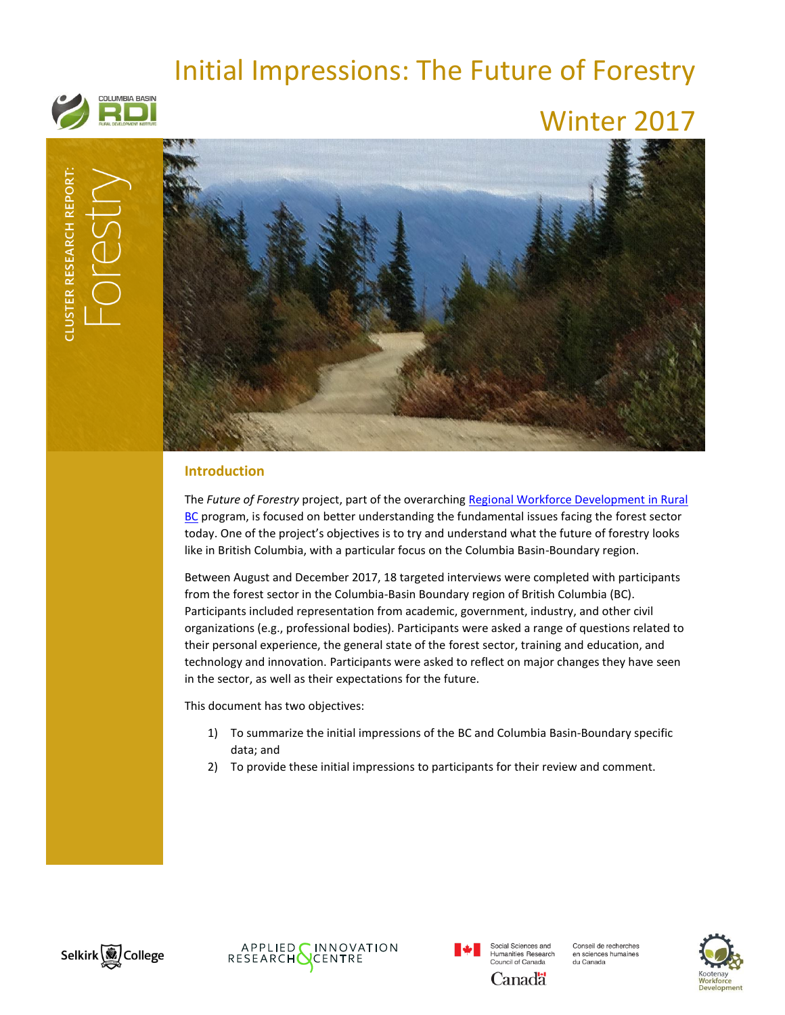# Initial Impressions: The Future of Forestry



# Winter 2017



# **Introduction**

The *Future of Forestry* project, part of the overarchin[g Regional Workforce Development in Rural](http://www.cbrdi.ca/workforce/)  [BC](http://www.cbrdi.ca/workforce/) program, is focused on better understanding the fundamental issues facing the forest sector today. One of the project's objectives is to try and understand what the future of forestry looks like in British Columbia, with a particular focus on the Columbia Basin-Boundary region.

Between August and December 2017, 18 targeted interviews were completed with participants from the forest sector in the Columbia-Basin Boundary region of British Columbia (BC). Participants included representation from academic, government, industry, and other civil organizations (e.g., professional bodies). Participants were asked a range of questions related to their personal experience, the general state of the forest sector, training and education, and technology and innovation. Participants were asked to reflect on major changes they have seen in the sector, as well as their expectations for the future.

This document has two objectives:

- 1) To summarize the initial impressions of the BC and Columbia Basin-Boundary specific data; and
- 2) To provide these initial impressions to participants for their review and comment.









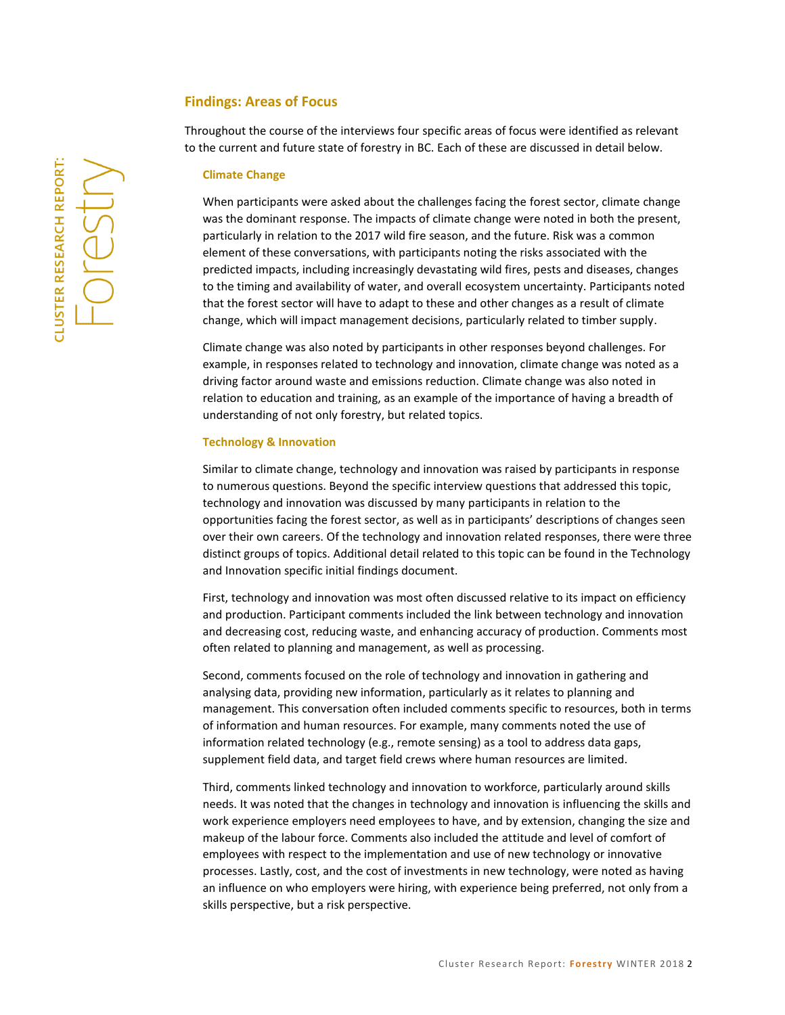## **Findings: Areas of Focus**

Throughout the course of the interviews four specific areas of focus were identified as relevant to the current and future state of forestry in BC. Each of these are discussed in detail below.

### **Climate Change**

When participants were asked about the challenges facing the forest sector, climate change was the dominant response. The impacts of climate change were noted in both the present, particularly in relation to the 2017 wild fire season, and the future. Risk was a common element of these conversations, with participants noting the risks associated with the predicted impacts, including increasingly devastating wild fires, pests and diseases, changes to the timing and availability of water, and overall ecosystem uncertainty. Participants noted that the forest sector will have to adapt to these and other changes as a result of climate change, which will impact management decisions, particularly related to timber supply.

Climate change was also noted by participants in other responses beyond challenges. For example, in responses related to technology and innovation, climate change was noted as a driving factor around waste and emissions reduction. Climate change was also noted in relation to education and training, as an example of the importance of having a breadth of understanding of not only forestry, but related topics.

#### **Technology & Innovation**

Similar to climate change, technology and innovation was raised by participants in response to numerous questions. Beyond the specific interview questions that addressed this topic, technology and innovation was discussed by many participants in relation to the opportunities facing the forest sector, as well as in participants' descriptions of changes seen over their own careers. Of the technology and innovation related responses, there were three distinct groups of topics. Additional detail related to this topic can be found in the Technology and Innovation specific initial findings document.

First, technology and innovation was most often discussed relative to its impact on efficiency and production. Participant comments included the link between technology and innovation and decreasing cost, reducing waste, and enhancing accuracy of production. Comments most often related to planning and management, as well as processing.

Second, comments focused on the role of technology and innovation in gathering and analysing data, providing new information, particularly as it relates to planning and management. This conversation often included comments specific to resources, both in terms of information and human resources. For example, many comments noted the use of information related technology (e.g., remote sensing) as a tool to address data gaps, supplement field data, and target field crews where human resources are limited.

Third, comments linked technology and innovation to workforce, particularly around skills needs. It was noted that the changes in technology and innovation is influencing the skills and work experience employers need employees to have, and by extension, changing the size and makeup of the labour force. Comments also included the attitude and level of comfort of employees with respect to the implementation and use of new technology or innovative processes. Lastly, cost, and the cost of investments in new technology, were noted as having an influence on who employers were hiring, with experience being preferred, not only from a skills perspective, but a risk perspective.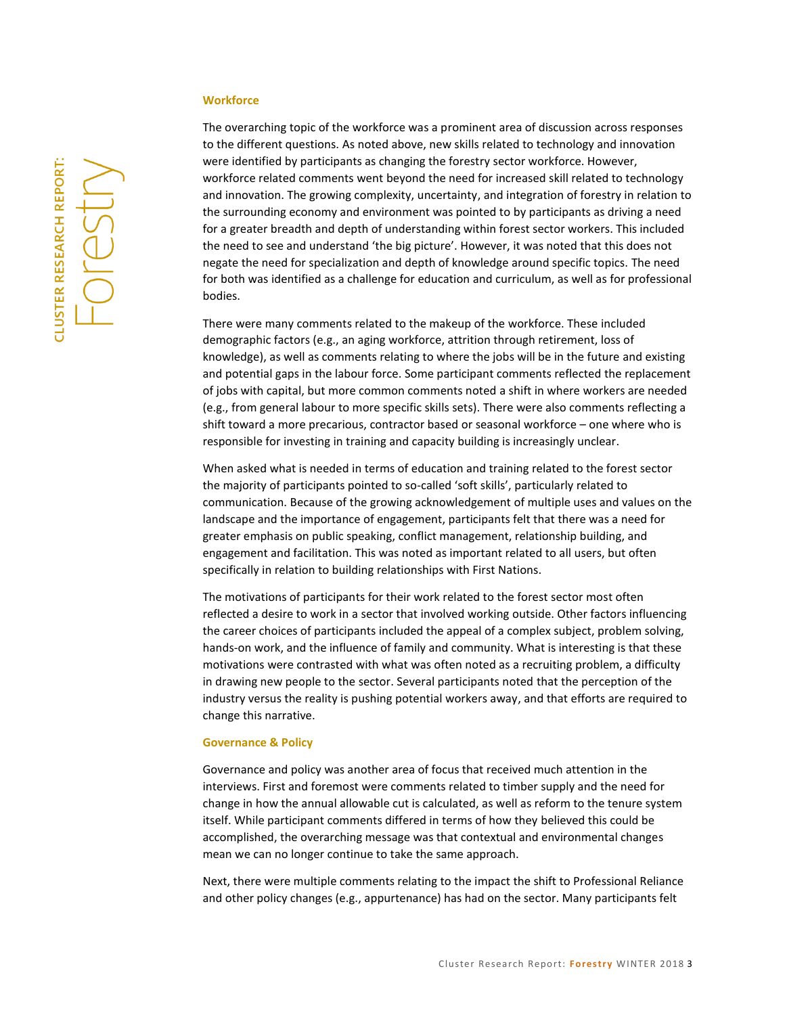#### **Workforce**

The overarching topic of the workforce was a prominent area of discussion across responses to the different questions. As noted above, new skills related to technology and innovation were identified by participants as changing the forestry sector workforce. However, workforce related comments went beyond the need for increased skill related to technology and innovation. The growing complexity, uncertainty, and integration of forestry in relation to the surrounding economy and environment was pointed to by participants as driving a need for a greater breadth and depth of understanding within forest sector workers. This included the need to see and understand 'the big picture'. However, it was noted that this does not negate the need for specialization and depth of knowledge around specific topics. The need for both was identified as a challenge for education and curriculum, as well as for professional bodies.

There were many comments related to the makeup of the workforce. These included demographic factors (e.g., an aging workforce, attrition through retirement, loss of knowledge), as well as comments relating to where the jobs will be in the future and existing and potential gaps in the labour force. Some participant comments reflected the replacement of jobs with capital, but more common comments noted a shift in where workers are needed (e.g., from general labour to more specific skills sets). There were also comments reflecting a shift toward a more precarious, contractor based or seasonal workforce – one where who is responsible for investing in training and capacity building is increasingly unclear.

When asked what is needed in terms of education and training related to the forest sector the majority of participants pointed to so-called 'soft skills', particularly related to communication. Because of the growing acknowledgement of multiple uses and values on the landscape and the importance of engagement, participants felt that there was a need for greater emphasis on public speaking, conflict management, relationship building, and engagement and facilitation. This was noted as important related to all users, but often specifically in relation to building relationships with First Nations.

The motivations of participants for their work related to the forest sector most often reflected a desire to work in a sector that involved working outside. Other factors influencing the career choices of participants included the appeal of a complex subject, problem solving, hands-on work, and the influence of family and community. What is interesting is that these motivations were contrasted with what was often noted as a recruiting problem, a difficulty in drawing new people to the sector. Several participants noted that the perception of the industry versus the reality is pushing potential workers away, and that efforts are required to change this narrative.

### **Governance & Policy**

Governance and policy was another area of focus that received much attention in the interviews. First and foremost were comments related to timber supply and the need for change in how the annual allowable cut is calculated, as well as reform to the tenure system itself. While participant comments differed in terms of how they believed this could be accomplished, the overarching message was that contextual and environmental changes mean we can no longer continue to take the same approach.

Next, there were multiple comments relating to the impact the shift to Professional Reliance and other policy changes (e.g., appurtenance) has had on the sector. Many participants felt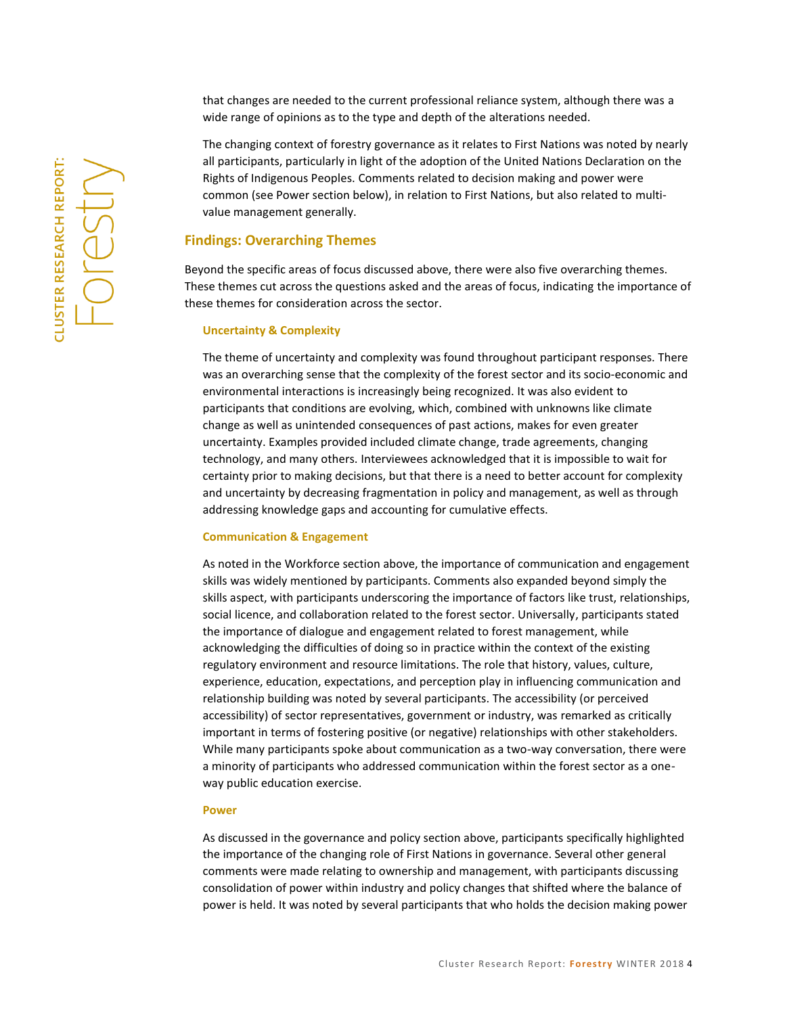that changes are needed to the current professional reliance system, although there was a wide range of opinions as to the type and depth of the alterations needed.

The changing context of forestry governance as it relates to First Nations was noted by nearly all participants, particularly in light of the adoption of the United Nations Declaration on the Rights of Indigenous Peoples. Comments related to decision making and power were common (see Power section below), in relation to First Nations, but also related to multivalue management generally.

## **Findings: Overarching Themes**

Beyond the specific areas of focus discussed above, there were also five overarching themes. These themes cut across the questions asked and the areas of focus, indicating the importance of these themes for consideration across the sector.

### **Uncertainty & Complexity**

The theme of uncertainty and complexity was found throughout participant responses. There was an overarching sense that the complexity of the forest sector and its socio-economic and environmental interactions is increasingly being recognized. It was also evident to participants that conditions are evolving, which, combined with unknowns like climate change as well as unintended consequences of past actions, makes for even greater uncertainty. Examples provided included climate change, trade agreements, changing technology, and many others. Interviewees acknowledged that it is impossible to wait for certainty prior to making decisions, but that there is a need to better account for complexity and uncertainty by decreasing fragmentation in policy and management, as well as through addressing knowledge gaps and accounting for cumulative effects.

#### **Communication & Engagement**

As noted in the Workforce section above, the importance of communication and engagement skills was widely mentioned by participants. Comments also expanded beyond simply the skills aspect, with participants underscoring the importance of factors like trust, relationships, social licence, and collaboration related to the forest sector. Universally, participants stated the importance of dialogue and engagement related to forest management, while acknowledging the difficulties of doing so in practice within the context of the existing regulatory environment and resource limitations. The role that history, values, culture, experience, education, expectations, and perception play in influencing communication and relationship building was noted by several participants. The accessibility (or perceived accessibility) of sector representatives, government or industry, was remarked as critically important in terms of fostering positive (or negative) relationships with other stakeholders. While many participants spoke about communication as a two-way conversation, there were a minority of participants who addressed communication within the forest sector as a oneway public education exercise.

#### **Power**

As discussed in the governance and policy section above, participants specifically highlighted the importance of the changing role of First Nations in governance. Several other general comments were made relating to ownership and management, with participants discussing consolidation of power within industry and policy changes that shifted where the balance of power is held. It was noted by several participants that who holds the decision making power